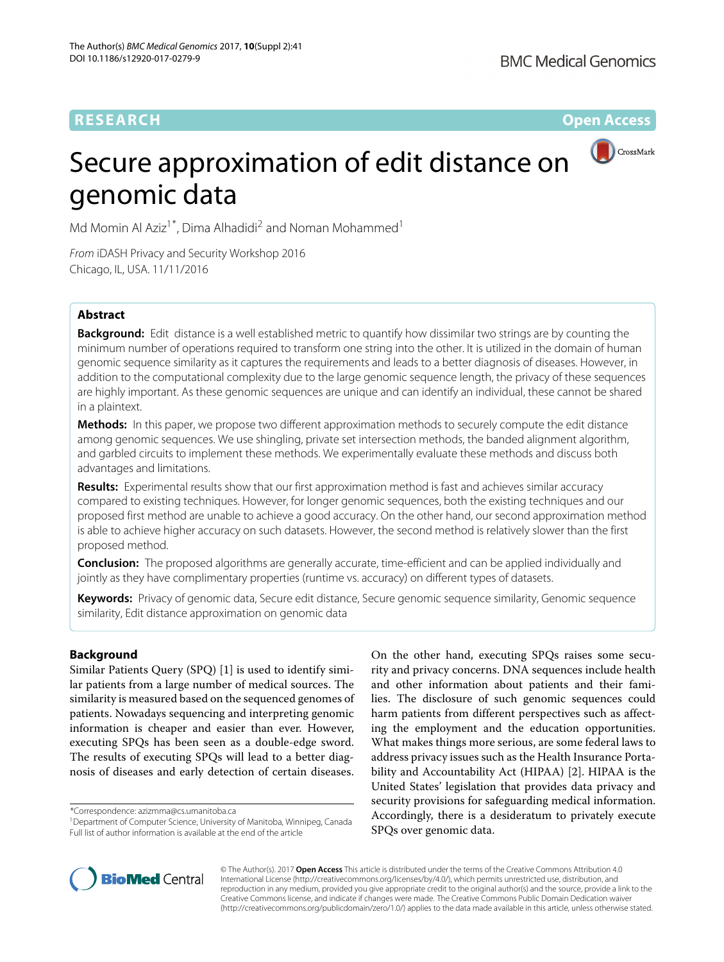**RESEARCH Open Access**

CrossMark

# Secure approximation of edit distance on genomic data

Md Momin Al Aziz<sup>1\*</sup>, Dima Alhadidi<sup>2</sup> and Noman Mohammed<sup>1</sup>

From iDASH Privacy and Security Workshop 2016 Chicago, IL, USA. 11/11/2016

## **Abstract**

**Background:** Edit distance is a well established metric to quantify how dissimilar two strings are by counting the minimum number of operations required to transform one string into the other. It is utilized in the domain of human genomic sequence similarity as it captures the requirements and leads to a better diagnosis of diseases. However, in addition to the computational complexity due to the large genomic sequence length, the privacy of these sequences are highly important. As these genomic sequences are unique and can identify an individual, these cannot be shared in a plaintext.

**Methods:** In this paper, we propose two different approximation methods to securely compute the edit distance among genomic sequences. We use shingling, private set intersection methods, the banded alignment algorithm, and garbled circuits to implement these methods. We experimentally evaluate these methods and discuss both advantages and limitations.

**Results:** Experimental results show that our first approximation method is fast and achieves similar accuracy compared to existing techniques. However, for longer genomic sequences, both the existing techniques and our proposed first method are unable to achieve a good accuracy. On the other hand, our second approximation method is able to achieve higher accuracy on such datasets. However, the second method is relatively slower than the first proposed method.

**Conclusion:** The proposed algorithms are generally accurate, time-efficient and can be applied individually and jointly as they have complimentary properties (runtime vs. accuracy) on different types of datasets.

**Keywords:** Privacy of genomic data, Secure edit distance, Secure genomic sequence similarity, Genomic sequence similarity, Edit distance approximation on genomic data

## **Background**

Similar Patients Query (SPQ) [\[1\]](#page-11-0) is used to identify similar patients from a large number of medical sources. The similarity is measured based on the sequenced genomes of patients. Nowadays sequencing and interpreting genomic information is cheaper and easier than ever. However, executing SPQs has been seen as a double-edge sword. The results of executing SPQs will lead to a better diagnosis of diseases and early detection of certain diseases.

\*Correspondence: [azizmma@cs.umanitoba.ca](mailto: azizmma@cs.umanitoba.ca)

<sup>1</sup> Department of Computer Science, University of Manitoba, Winnipeg, Canada Full list of author information is available at the end of the article

On the other hand, executing SPQs raises some security and privacy concerns. DNA sequences include health and other information about patients and their families. The disclosure of such genomic sequences could harm patients from different perspectives such as affecting the employment and the education opportunities. What makes things more serious, are some federal laws to address privacy issues such as the Health Insurance Portability and Accountability Act (HIPAA) [\[2\]](#page-11-1). HIPAA is the United States' legislation that provides data privacy and security provisions for safeguarding medical information. Accordingly, there is a desideratum to privately execute SPQs over genomic data.



© The Author(s). 2017 **Open Access** This article is distributed under the terms of the Creative Commons Attribution 4.0 International License [\(http://creativecommons.org/licenses/by/4.0/\)](http://creativecommons.org/licenses/by/4.0/), which permits unrestricted use, distribution, and reproduction in any medium, provided you give appropriate credit to the original author(s) and the source, provide a link to the Creative Commons license, and indicate if changes were made. The Creative Commons Public Domain Dedication waiver [\(http://creativecommons.org/publicdomain/zero/1.0/\)](http://creativecommons.org/publicdomain/zero/1.0/) applies to the data made available in this article, unless otherwise stated.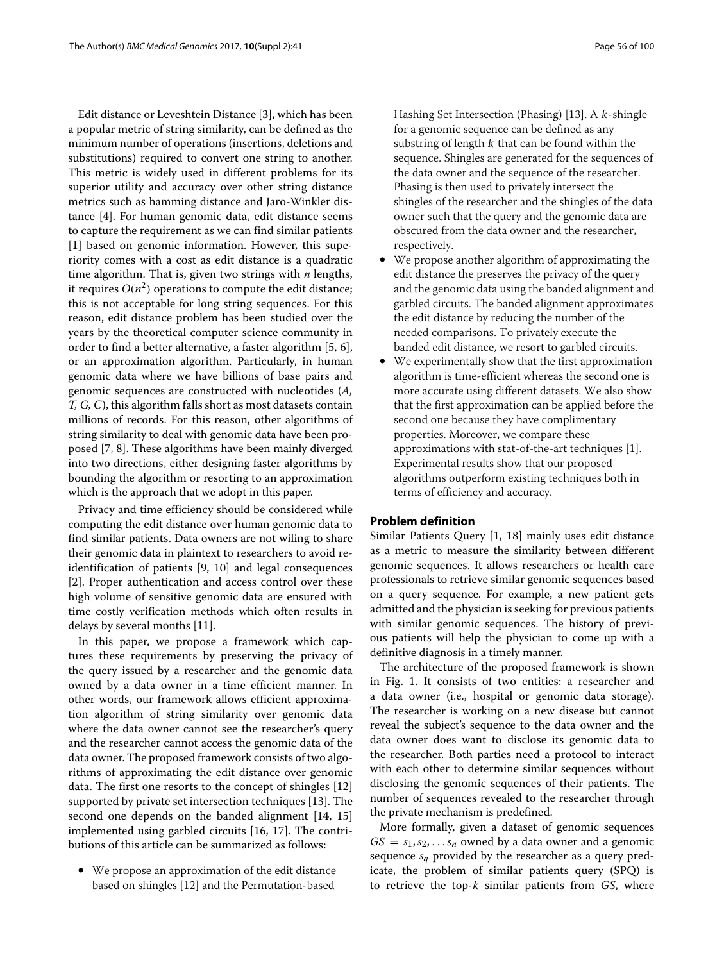Edit distance or Leveshtein Distance [\[3\]](#page-11-2), which has been a popular metric of string similarity, can be defined as the minimum number of operations (insertions, deletions and substitutions) required to convert one string to another. This metric is widely used in different problems for its superior utility and accuracy over other string distance metrics such as hamming distance and Jaro-Winkler distance [\[4\]](#page-11-3). For human genomic data, edit distance seems to capture the requirement as we can find similar patients [\[1\]](#page-11-0) based on genomic information. However, this superiority comes with a cost as edit distance is a quadratic time algorithm. That is, given two strings with *n* lengths, it requires  $O(n^2)$  operations to compute the edit distance; this is not acceptable for long string sequences. For this reason, edit distance problem has been studied over the years by the theoretical computer science community in order to find a better alternative, a faster algorithm [\[5,](#page-11-4) [6\]](#page-11-5), or an approximation algorithm. Particularly, in human genomic data where we have billions of base pairs and genomic sequences are constructed with nucleotides (*A, T, G, C*), this algorithm falls short as most datasets contain millions of records. For this reason, other algorithms of string similarity to deal with genomic data have been proposed [\[7,](#page-11-6) [8\]](#page-11-7). These algorithms have been mainly diverged into two directions, either designing faster algorithms by bounding the algorithm or resorting to an approximation which is the approach that we adopt in this paper.

Privacy and time efficiency should be considered while computing the edit distance over human genomic data to find similar patients. Data owners are not wiling to share their genomic data in plaintext to researchers to avoid reidentification of patients [\[9,](#page-11-8) [10\]](#page-11-9) and legal consequences [\[2\]](#page-11-1). Proper authentication and access control over these high volume of sensitive genomic data are ensured with time costly verification methods which often results in delays by several months [\[11\]](#page-11-10).

In this paper, we propose a framework which captures these requirements by preserving the privacy of the query issued by a researcher and the genomic data owned by a data owner in a time efficient manner. In other words, our framework allows efficient approximation algorithm of string similarity over genomic data where the data owner cannot see the researcher's query and the researcher cannot access the genomic data of the data owner. The proposed framework consists of two algorithms of approximating the edit distance over genomic data. The first one resorts to the concept of shingles [\[12\]](#page-11-11) supported by private set intersection techniques [\[13\]](#page-11-12). The second one depends on the banded alignment [\[14,](#page-11-13) [15\]](#page-11-14) implemented using garbled circuits [\[16,](#page-11-15) [17\]](#page-11-16). The contributions of this article can be summarized as follows:

• We propose an approximation of the edit distance based on shingles [\[12\]](#page-11-11) and the Permutation-based

Hashing Set Intersection (Phasing) [\[13\]](#page-11-12). A k-shingle for a genomic sequence can be defined as any substring of length  $k$  that can be found within the sequence. Shingles are generated for the sequences of the data owner and the sequence of the researcher. Phasing is then used to privately intersect the shingles of the researcher and the shingles of the data owner such that the query and the genomic data are obscured from the data owner and the researcher, respectively.

- We propose another algorithm of approximating the edit distance the preserves the privacy of the query and the genomic data using the banded alignment and garbled circuits. The banded alignment approximates the edit distance by reducing the number of the needed comparisons. To privately execute the banded edit distance, we resort to garbled circuits.
- We experimentally show that the first approximation algorithm is time-efficient whereas the second one is more accurate using different datasets. We also show that the first approximation can be applied before the second one because they have complimentary properties. Moreover, we compare these approximations with stat-of-the-art techniques [\[1\]](#page-11-0). Experimental results show that our proposed algorithms outperform existing techniques both in terms of efficiency and accuracy.

#### **Problem definition**

Similar Patients Query [\[1,](#page-11-0) [18\]](#page-11-17) mainly uses edit distance as a metric to measure the similarity between different genomic sequences. It allows researchers or health care professionals to retrieve similar genomic sequences based on a query sequence. For example, a new patient gets admitted and the physician is seeking for previous patients with similar genomic sequences. The history of previous patients will help the physician to come up with a definitive diagnosis in a timely manner.

The architecture of the proposed framework is shown in Fig. [1.](#page-2-0) It consists of two entities: a researcher and a data owner (i.e., hospital or genomic data storage). The researcher is working on a new disease but cannot reveal the subject's sequence to the data owner and the data owner does want to disclose its genomic data to the researcher. Both parties need a protocol to interact with each other to determine similar sequences without disclosing the genomic sequences of their patients. The number of sequences revealed to the researcher through the private mechanism is predefined.

More formally, given a dataset of genomic sequences  $GS = s_1, s_2, \ldots, s_n$  owned by a data owner and a genomic sequence  $s_a$  provided by the researcher as a query predicate, the problem of similar patients query (SPQ) is to retrieve the top-*k* similar patients from *GS*, where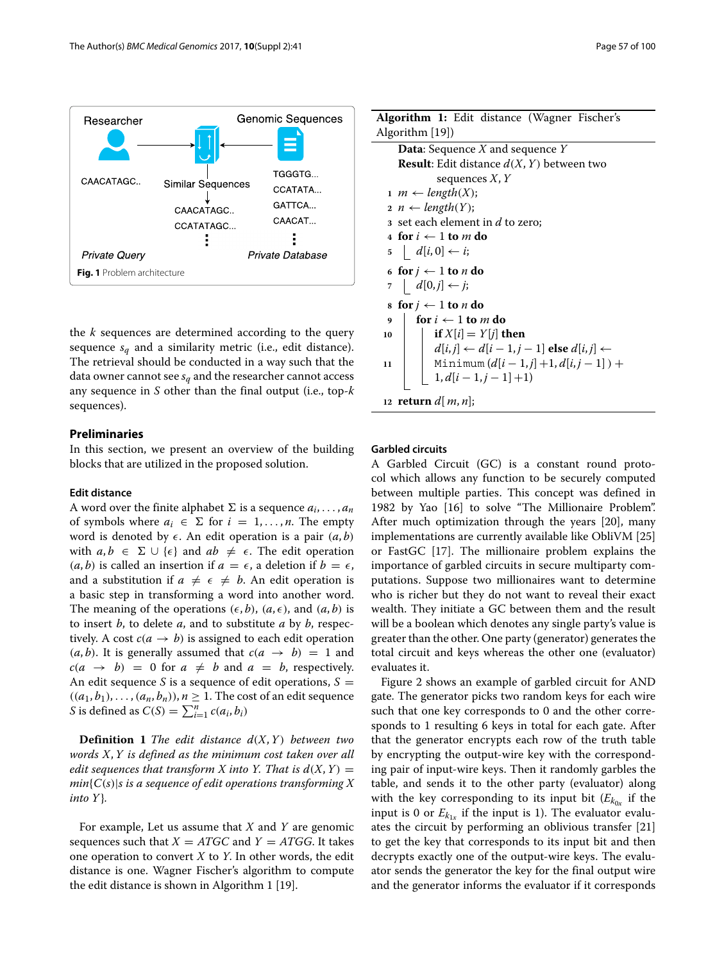



<span id="page-2-0"></span>the *k* sequences are determined according to the query sequence  $s_a$  and a similarity metric (i.e., edit distance). The retrieval should be conducted in a way such that the data owner cannot see  $s_q$  and the researcher cannot access any sequence in *S* other than the final output (i.e., top-*k* sequences).

## **Preliminaries**

In this section, we present an overview of the building blocks that are utilized in the proposed solution.

#### **Edit distance**

A word over the finite alphabet  $\Sigma$  is a sequence  $a_i, \ldots, a_n$ of symbols where  $a_i \in \Sigma$  for  $i = 1, ..., n$ . The empty word is denoted by  $\epsilon$ . An edit operation is a pair  $(a, b)$ with  $a, b \in \Sigma \cup \{\epsilon\}$  and  $ab \neq \epsilon$ . The edit operation  $(a, b)$  is called an insertion if  $a = \epsilon$ , a deletion if  $b = \epsilon$ , and a substitution if  $a \neq \epsilon \neq b$ . An edit operation is a basic step in transforming a word into another word. The meaning of the operations  $(\epsilon, b)$ ,  $(a, \epsilon)$ , and  $(a, b)$  is to insert *b*, to delete *a*, and to substitute *a* by *b*, respectively. A cost  $c(a \rightarrow b)$  is assigned to each edit operation  $(a, b)$ . It is generally assumed that  $c(a \rightarrow b) = 1$  and  $c(a \rightarrow b) = 0$  for  $a \neq b$  and  $a = b$ , respectively. An edit sequence *S* is a sequence of edit operations,  $S =$  $((a_1, b_1), \ldots, (a_n, b_n)), n \geq 1$ . The cost of an edit sequence *S* is defined as  $C(S) = \sum_{i=1}^{n} c(a_i, b_i)$ 

**Definition 1** *The edit distance d*(*X*, *Y*) *between two words X*, *Y is defined as the minimum cost taken over all edit sequences that transform X into Y. That is*  $d(X, Y) =$ *min*{*C*(*s*)|*s is a sequence of edit operations transforming X into Y*}*.*

For example, Let us assume that *X* and *Y* are genomic sequences such that  $X = ATGC$  and  $Y = ATGG$ . It takes one operation to convert *X* to *Y*. In other words, the edit distance is one. Wagner Fischer's algorithm to compute the edit distance is shown in Algorithm 1 [\[19\]](#page-11-18).

| Algorithm 1: Edit distance (Wagner Fischer's<br>Algorithm [19]) |
|-----------------------------------------------------------------|
| <b>Data:</b> Sequence X and sequence Y                          |
| <b>Result:</b> Edit distance $d(X, Y)$ between two              |
| sequences $X, Y$                                                |
| $1 \, m \leftarrow length(X);$                                  |
| $2 \, n \leftarrow length(Y);$                                  |
| 3 set each element in d to zero;                                |
| 4 for $i \leftarrow 1$ to m do                                  |
| $5 \mid d[i,0] \leftarrow i;$                                   |
| 6 for $j \leftarrow 1$ to <i>n</i> do                           |
| $7 \mid d[0,j] \leftarrow j;$                                   |
| s for $j \leftarrow 1$ to <i>n</i> do                           |
| for $i \leftarrow 1$ to m do<br>9                               |
| if $X[i] = Y[j]$ then<br>10                                     |
| $d[i,j] \leftarrow d[i-1,j-1]$ else $d[i,j] \leftarrow$         |
| Minimum $(d[i - 1, j] + 1, d[i, j - 1]) +$<br>11                |
| $\lfloor 1, d[i-1,j-1]+1 \rfloor$                               |
| 12 <b>return</b> $d[m, n]$ ;                                    |

## **Garbled circuits**

A Garbled Circuit (GC) is a constant round protocol which allows any function to be securely computed between multiple parties. This concept was defined in 1982 by Yao [\[16\]](#page-11-15) to solve "The Millionaire Problem". After much optimization through the years [\[20\]](#page-11-19), many implementations are currently available like ObliVM [\[25\]](#page-11-20) or FastGC [\[17\]](#page-11-16). The millionaire problem explains the importance of garbled circuits in secure multiparty computations. Suppose two millionaires want to determine who is richer but they do not want to reveal their exact wealth. They initiate a GC between them and the result will be a boolean which denotes any single party's value is greater than the other. One party (generator) generates the total circuit and keys whereas the other one (evaluator) evaluates it.

Figure [2](#page-3-0) shows an example of garbled circuit for AND gate. The generator picks two random keys for each wire such that one key corresponds to 0 and the other corresponds to 1 resulting 6 keys in total for each gate. After that the generator encrypts each row of the truth table by encrypting the output-wire key with the corresponding pair of input-wire keys. Then it randomly garbles the table, and sends it to the other party (evaluator) along with the key corresponding to its input bit  $(E_{k0x}$  if the input is 0 or  $E_{k_{1x}}$  if the input is 1). The evaluator evaluates the circuit by performing an oblivious transfer [\[21\]](#page-11-21) to get the key that corresponds to its input bit and then decrypts exactly one of the output-wire keys. The evaluator sends the generator the key for the final output wire and the generator informs the evaluator if it corresponds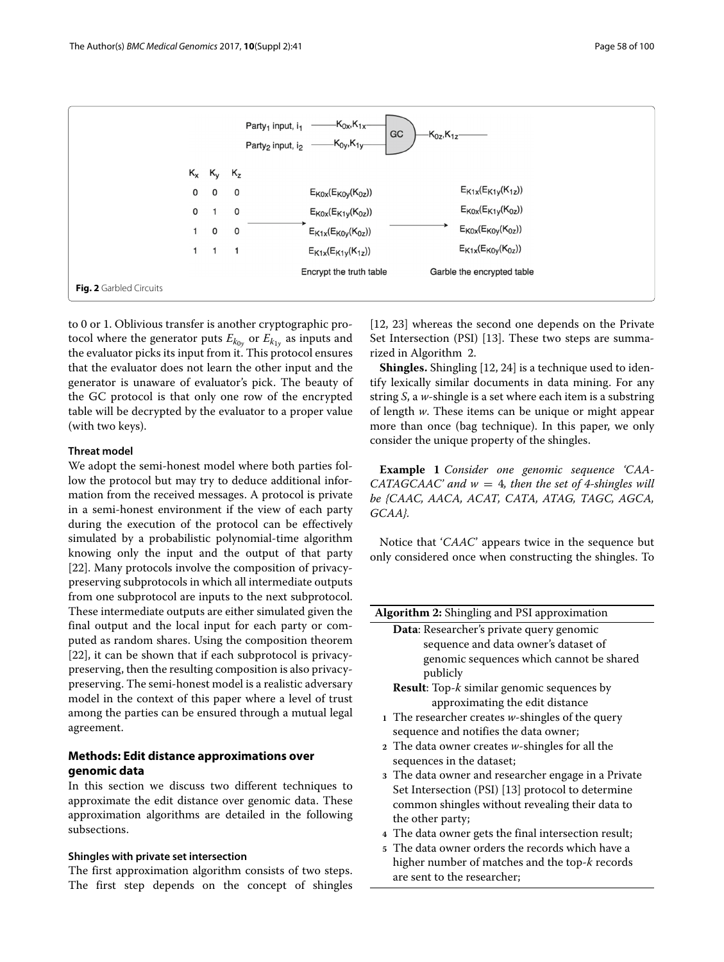

<span id="page-3-0"></span>to 0 or 1. Oblivious transfer is another cryptographic protocol where the generator puts  $E_{k_{0y}}$  or  $E_{k_{1y}}$  as inputs and the evaluator picks its input from it. This protocol ensures that the evaluator does not learn the other input and the generator is unaware of evaluator's pick. The beauty of the GC protocol is that only one row of the encrypted table will be decrypted by the evaluator to a proper value (with two keys).

#### **Threat model**

We adopt the semi-honest model where both parties follow the protocol but may try to deduce additional information from the received messages. A protocol is private in a semi-honest environment if the view of each party during the execution of the protocol can be effectively simulated by a probabilistic polynomial-time algorithm knowing only the input and the output of that party [\[22\]](#page-11-22). Many protocols involve the composition of privacypreserving subprotocols in which all intermediate outputs from one subprotocol are inputs to the next subprotocol. These intermediate outputs are either simulated given the final output and the local input for each party or computed as random shares. Using the composition theorem [\[22\]](#page-11-22), it can be shown that if each subprotocol is privacypreserving, then the resulting composition is also privacypreserving. The semi-honest model is a realistic adversary model in the context of this paper where a level of trust among the parties can be ensured through a mutual legal agreement.

## **Methods: Edit distance approximations over genomic data**

In this section we discuss two different techniques to approximate the edit distance over genomic data. These approximation algorithms are detailed in the following subsections.

#### **Shingles with private set intersection**

The first approximation algorithm consists of two steps. The first step depends on the concept of shingles

[\[12,](#page-11-11) [23\]](#page-11-23) whereas the second one depends on the Private Set Intersection (PSI) [\[13\]](#page-11-12). These two steps are summarized in Algorithm 2.

**Shingles.** Shingling [\[12,](#page-11-11) [24\]](#page-11-24) is a technique used to identify lexically similar documents in data mining. For any string *S*, a *w*-shingle is a set where each item is a substring of length *w*. These items can be unique or might appear more than once (bag technique). In this paper, we only consider the unique property of the shingles.

**Example 1** *Consider one genomic sequence 'CAA-* $CATAGCAAC'$  and  $w = 4$ , then the set of 4-shingles will *be {CAAC, AACA, ACAT, CATA, ATAG, TAGC, AGCA, GCAA}.*

Notice that '*CAAC*' appears twice in the sequence but only considered once when constructing the shingles. To

- **<sup>2</sup>** The data owner creates *w*-shingles for all the sequences in the dataset;
- **<sup>3</sup>** The data owner and researcher engage in a Private Set Intersection (PSI) [\[13\]](#page-11-12) protocol to determine common shingles without revealing their data to the other party;
- **<sup>4</sup>** The data owner gets the final intersection result;
- **<sup>5</sup>** The data owner orders the records which have a higher number of matches and the top-*k* records are sent to the researcher;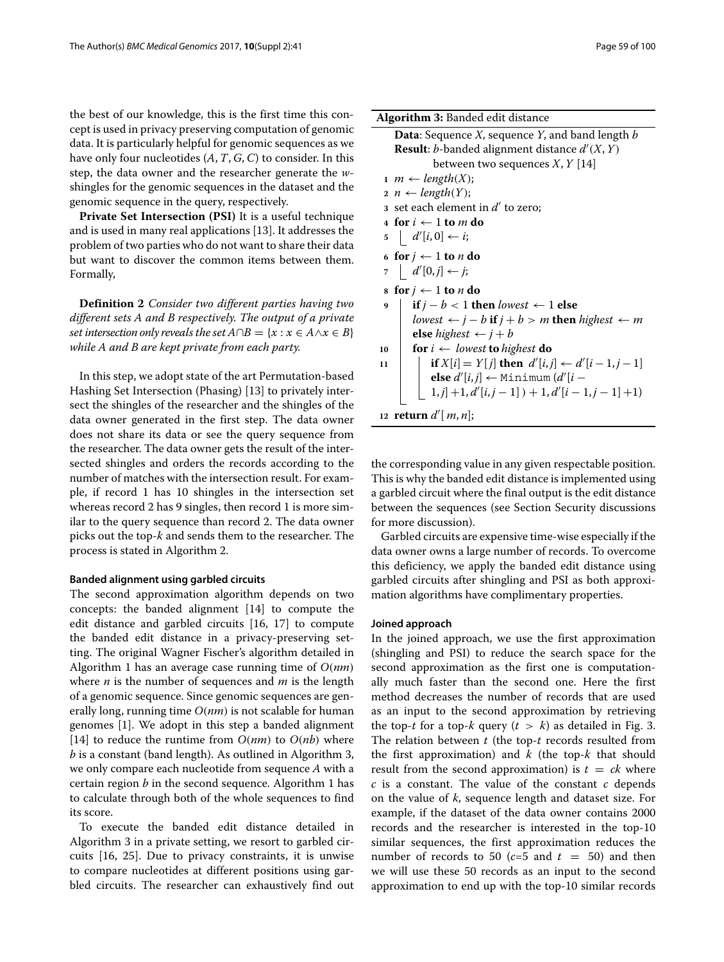the best of our knowledge, this is the first time this concept is used in privacy preserving computation of genomic data. It is particularly helpful for genomic sequences as we have only four nucleotides (*A*, *T*, *G*,*C*) to consider. In this step, the data owner and the researcher generate the *w*shingles for the genomic sequences in the dataset and the genomic sequence in the query, respectively.

**Private Set Intersection (PSI)** It is a useful technique and is used in many real applications [\[13\]](#page-11-12). It addresses the problem of two parties who do not want to share their data but want to discover the common items between them. Formally,

**Definition 2** *Consider two different parties having two different sets A and B respectively. The output of a private set intersection only reveals the set*  $A \cap B = \{x : x \in A \land x \in B\}$ *while A and B are kept private from each party.*

In this step, we adopt state of the art Permutation-based Hashing Set Intersection (Phasing) [\[13\]](#page-11-12) to privately intersect the shingles of the researcher and the shingles of the data owner generated in the first step. The data owner does not share its data or see the query sequence from the researcher. The data owner gets the result of the intersected shingles and orders the records according to the number of matches with the intersection result. For example, if record 1 has 10 shingles in the intersection set whereas record 2 has 9 singles, then record 1 is more similar to the query sequence than record 2. The data owner picks out the top-*k* and sends them to the researcher. The process is stated in Algorithm 2.

#### **Banded alignment using garbled circuits**

The second approximation algorithm depends on two concepts: the banded alignment [\[14\]](#page-11-13) to compute the edit distance and garbled circuits [\[16,](#page-11-15) [17\]](#page-11-16) to compute the banded edit distance in a privacy-preserving setting. The original Wagner Fischer's algorithm detailed in Algorithm 1 has an average case running time of *O*(*nm*) where *n* is the number of sequences and *m* is the length of a genomic sequence. Since genomic sequences are generally long, running time *O*(*nm*) is not scalable for human genomes [\[1\]](#page-11-0). We adopt in this step a banded alignment [\[14\]](#page-11-13) to reduce the runtime from  $O(nm)$  to  $O(nb)$  where *b* is a constant (band length). As outlined in Algorithm 3, we only compare each nucleotide from sequence *A* with a certain region *b* in the second sequence. Algorithm 1 has to calculate through both of the whole sequences to find its score.

To execute the banded edit distance detailed in Algorithm 3 in a private setting, we resort to garbled circuits [\[16,](#page-11-15) [25\]](#page-11-20). Due to privacy constraints, it is unwise to compare nucleotides at different positions using garbled circuits. The researcher can exhaustively find out

## **Algorithm 3:** Banded edit distance

| <br><b>Danaeu care albeance</b>                                     |
|---------------------------------------------------------------------|
| <b>Data:</b> Sequence $X$ , sequence $Y$ , and band length $b$      |
| <b>Result:</b> <i>b</i> -banded alignment distance $d'(X, Y)$       |
| between two sequences $X, Y$ [14]                                   |
| $1 \t m \leftarrow length(X);$                                      |
| $2 \, n \leftarrow length(Y);$                                      |
| 3 set each element in $d'$ to zero;                                 |
| 4 for $i \leftarrow 1$ to m do                                      |
| $5 \mid d'[i,0] \leftarrow i;$                                      |
| 6 for $j \leftarrow 1$ to <i>n</i> do                               |
| $7 \mid d'[0,j] \leftarrow j;$                                      |
| s for $j \leftarrow 1$ to <i>n</i> do                               |
| <b>if</b> $j - b < 1$ then <i>lowest</i> $\leftarrow$ 1 else<br>9   |
| lowest $\leftarrow$ j – b if j + b > m then highest $\leftarrow$ m  |
| else highest $\leftarrow$ j + b                                     |
| <b>for</b> $i \leftarrow$ lowest to highest do<br>10                |
| <b>if</b> $X[i] = Y[j]$ then $d'[i,j] \leftarrow d'[i-1,j-1]$<br>11 |
| else $d'[i,j] \leftarrow \text{Minimum} (d'[i-$                     |
| $1, j] + 1, d'[i, j - 1] + 1, d'[i - 1, j - 1] + 1)$                |
| 12 return $d'[m,n]$ ;                                               |
|                                                                     |

the corresponding value in any given respectable position. This is why the banded edit distance is implemented using a garbled circuit where the final output is the edit distance between the sequences (see Section [Security discussions](#page-8-0) for more discussion).

Garbled circuits are expensive time-wise especially if the data owner owns a large number of records. To overcome this deficiency, we apply the banded edit distance using garbled circuits after shingling and PSI as both approximation algorithms have complimentary properties.

#### **Joined approach**

In the joined approach, we use the first approximation (shingling and PSI) to reduce the search space for the second approximation as the first one is computationally much faster than the second one. Here the first method decreases the number of records that are used as an input to the second approximation by retrieving the top-*t* for a top-*k* query  $(t > k)$  as detailed in Fig. [3.](#page-5-0) The relation between *t* (the top-*t* records resulted from the first approximation) and *k* (the top-*k* that should result from the second approximation) is  $t = ck$  where *c* is a constant. The value of the constant *c* depends on the value of *k*, sequence length and dataset size. For example, if the dataset of the data owner contains 2000 records and the researcher is interested in the top-10 similar sequences, the first approximation reduces the number of records to 50 ( $c=5$  and  $t = 50$ ) and then we will use these 50 records as an input to the second approximation to end up with the top-10 similar records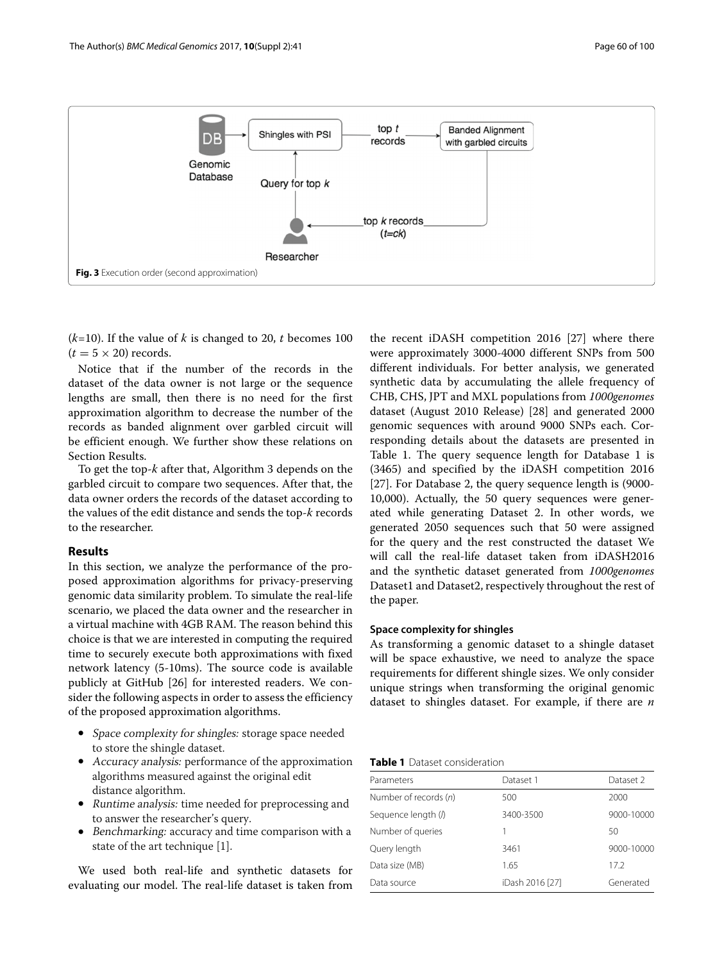

<span id="page-5-0"></span>(*k*=10). If the value of *k* is changed to 20, *t* becomes 100  $(t = 5 \times 20)$  records.

Notice that if the number of the records in the dataset of the data owner is not large or the sequence lengths are small, then there is no need for the first approximation algorithm to decrease the number of the records as banded alignment over garbled circuit will be efficient enough. We further show these relations on Section [Results.](#page-5-1)

To get the top-*k* after that, Algorithm 3 depends on the garbled circuit to compare two sequences. After that, the data owner orders the records of the dataset according to the values of the edit distance and sends the top-*k* records to the researcher.

## <span id="page-5-1"></span>**Results**

In this section, we analyze the performance of the proposed approximation algorithms for privacy-preserving genomic data similarity problem. To simulate the real-life scenario, we placed the data owner and the researcher in a virtual machine with 4GB RAM. The reason behind this choice is that we are interested in computing the required time to securely execute both approximations with fixed network latency (5-10ms). The source code is available publicly at GitHub [\[26\]](#page-11-25) for interested readers. We consider the following aspects in order to assess the efficiency of the proposed approximation algorithms.

- Space complexity for shingles: storage space needed to store the shingle dataset.
- Accuracy analysis: performance of the approximation algorithms measured against the original edit distance algorithm.
- Runtime analysis: time needed for preprocessing and to answer the researcher's query.
- Benchmarking: accuracy and time comparison with a state of the art technique [\[1\]](#page-11-0).

We used both real-life and synthetic datasets for evaluating our model. The real-life dataset is taken from the recent iDASH competition 2016 [\[27\]](#page-11-26) where there were approximately 3000-4000 different SNPs from 500 different individuals. For better analysis, we generated synthetic data by accumulating the allele frequency of CHB, CHS, JPT and MXL populations from *1000genomes* dataset (August 2010 Release) [\[28\]](#page-11-27) and generated 2000 genomic sequences with around 9000 SNPs each. Corresponding details about the datasets are presented in Table [1.](#page-5-2) The query sequence length for Database 1 is (3465) and specified by the iDASH competition 2016 [\[27\]](#page-11-26). For Database 2, the query sequence length is (9000- 10,000). Actually, the 50 query sequences were generated while generating Dataset 2. In other words, we generated 2050 sequences such that 50 were assigned for the query and the rest constructed the dataset We will call the real-life dataset taken from iDASH2016 and the synthetic dataset generated from *1000genomes* Dataset1 and Dataset2, respectively throughout the rest of the paper.

## **Space complexity for shingles**

As transforming a genomic dataset to a shingle dataset will be space exhaustive, we need to analyze the space requirements for different shingle sizes. We only consider unique strings when transforming the original genomic dataset to shingles dataset. For example, if there are *n*

## **Table 1** Dataset consideration

<span id="page-5-2"></span>

| Parameters            | Dataset 1       | Dataset 2  |
|-----------------------|-----------------|------------|
| Number of records (n) | 500             | 2000       |
| Sequence length (/)   | 3400-3500       | 9000-10000 |
| Number of queries     |                 | 50         |
| Query length          | 3461            | 9000-10000 |
| Data size (MB)        | 1.65            | 172        |
| Data source           | iDash 2016 [27] | Generated  |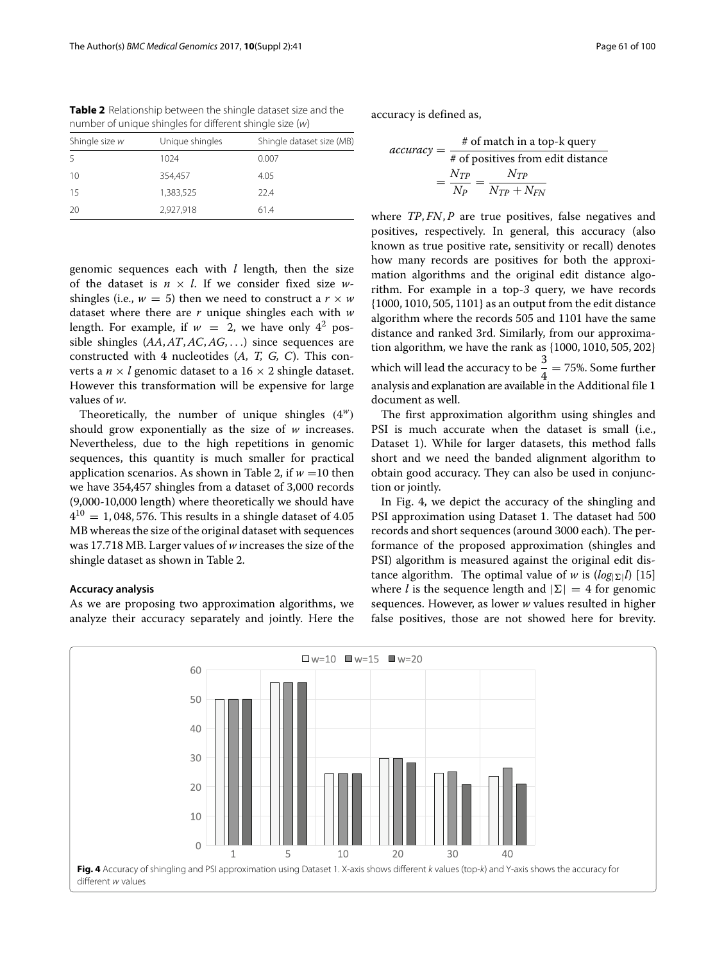Shingle size w Unique shingles Shingle dataset size (MB) 5 1024 0.007 10 354,457 4.05 15 1,383,525 22.4 20 2,927,918 61.4

<span id="page-6-0"></span>**Table 2** Relationship between the shingle dataset size and the number of unique shingles for different shingle size (w)

genomic sequences each with *l* length, then the size of the dataset is  $n \times l$ . If we consider fixed size *w*shingles (i.e.,  $w = 5$ ) then we need to construct a  $r \times w$ dataset where there are *r* unique shingles each with *w* length. For example, if  $w = 2$ , we have only  $4^2$  possible shingles (*AA*,*AT*,*AC*,*AG*, ...) since sequences are constructed with 4 nucleotides (*A, T, G, C*). This converts a  $n \times l$  genomic dataset to a  $16 \times 2$  shingle dataset. However this transformation will be expensive for large values of *w*.

Theoretically, the number of unique shingles (4*w*) should grow exponentially as the size of *w* increases. Nevertheless, due to the high repetitions in genomic sequences, this quantity is much smaller for practical application scenarios. As shown in Table [2,](#page-6-0) if  $w = 10$  then we have 354,457 shingles from a dataset of 3,000 records (9,000-10,000 length) where theoretically we should have  $4^{10} = 1,048,576$ . This results in a shingle dataset of 4.05 MB whereas the size of the original dataset with sequences was 17.718 MB. Larger values of *w* increases the size of the shingle dataset as shown in Table [2.](#page-6-0)

#### **Accuracy analysis**

As we are proposing two approximation algorithms, we analyze their accuracy separately and jointly. Here the accuracy is defined as,

$$
accuracy = \frac{\# \text{ of match in a top-k query}}{\# \text{ of positives from edit distance}}
$$

$$
= \frac{N_{TP}}{N_P} = \frac{N_{TP}}{N_{TP} + N_{FN}}
$$

where *TP*, *FN*, *P* are true positives, false negatives and positives, respectively. In general, this accuracy (also known as true positive rate, sensitivity or recall) denotes how many records are positives for both the approximation algorithms and the original edit distance algorithm. For example in a top-*3* query, we have records {1000, 1010, 505, 1101} as an output from the edit distance algorithm where the records 505 and 1101 have the same distance and ranked 3rd. Similarly, from our approximation algorithm, we have the rank as {1000, 1010, 505, 202} which will lead the accuracy to be  $\frac{3}{4} = 75\%$ . Some further analysis and explanation are available in the Additional file [1](#page-11-28) document as well.

The first approximation algorithm using shingles and PSI is much accurate when the dataset is small (i.e., Dataset 1). While for larger datasets, this method falls short and we need the banded alignment algorithm to obtain good accuracy. They can also be used in conjunction or jointly.

In Fig. [4,](#page-6-1) we depict the accuracy of the shingling and PSI approximation using Dataset 1. The dataset had 500 records and short sequences (around 3000 each). The performance of the proposed approximation (shingles and PSI) algorithm is measured against the original edit distance algorithm. The optimal value of *w* is  $(log_{|\Sigma|}l)$  [\[15\]](#page-11-14) where *l* is the sequence length and  $|\Sigma| = 4$  for genomic sequences. However, as lower *w* values resulted in higher false positives, those are not showed here for brevity.

<span id="page-6-1"></span>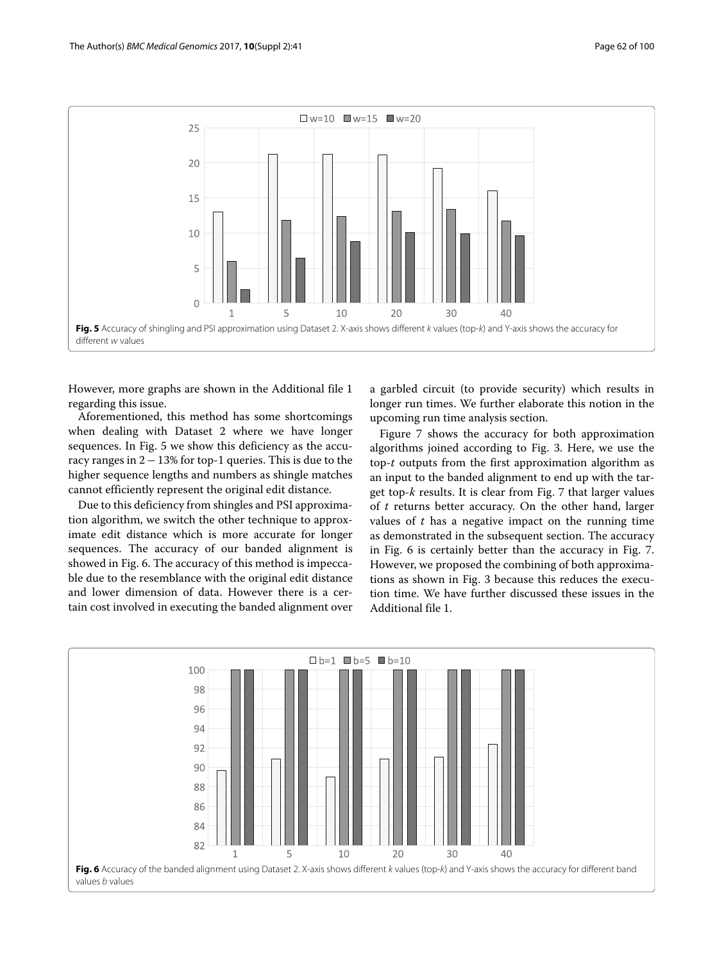

<span id="page-7-0"></span>However, more graphs are shown in the Additional file [1](#page-11-28) regarding this issue.

Aforementioned, this method has some shortcomings when dealing with Dataset 2 where we have longer sequences. In Fig. [5](#page-7-0) we show this deficiency as the accuracy ranges in 2−13% for top-1 queries. This is due to the higher sequence lengths and numbers as shingle matches cannot efficiently represent the original edit distance.

Due to this deficiency from shingles and PSI approximation algorithm, we switch the other technique to approximate edit distance which is more accurate for longer sequences. The accuracy of our banded alignment is showed in Fig. [6.](#page-7-1) The accuracy of this method is impeccable due to the resemblance with the original edit distance and lower dimension of data. However there is a certain cost involved in executing the banded alignment over a garbled circuit (to provide security) which results in longer run times. We further elaborate this notion in the upcoming run time analysis section.

Figure [7](#page-8-1) shows the accuracy for both approximation algorithms joined according to Fig. [3.](#page-5-0) Here, we use the top-*t* outputs from the first approximation algorithm as an input to the banded alignment to end up with the target top-*k* results. It is clear from Fig. [7](#page-8-1) that larger values of *t* returns better accuracy. On the other hand, larger values of *t* has a negative impact on the running time as demonstrated in the subsequent section. The accuracy in Fig. [6](#page-7-1) is certainly better than the accuracy in Fig. [7.](#page-8-1) However, we proposed the combining of both approximations as shown in Fig. [3](#page-5-0) because this reduces the execution time. We have further discussed these issues in the Additional file [1.](#page-11-28)

<span id="page-7-1"></span>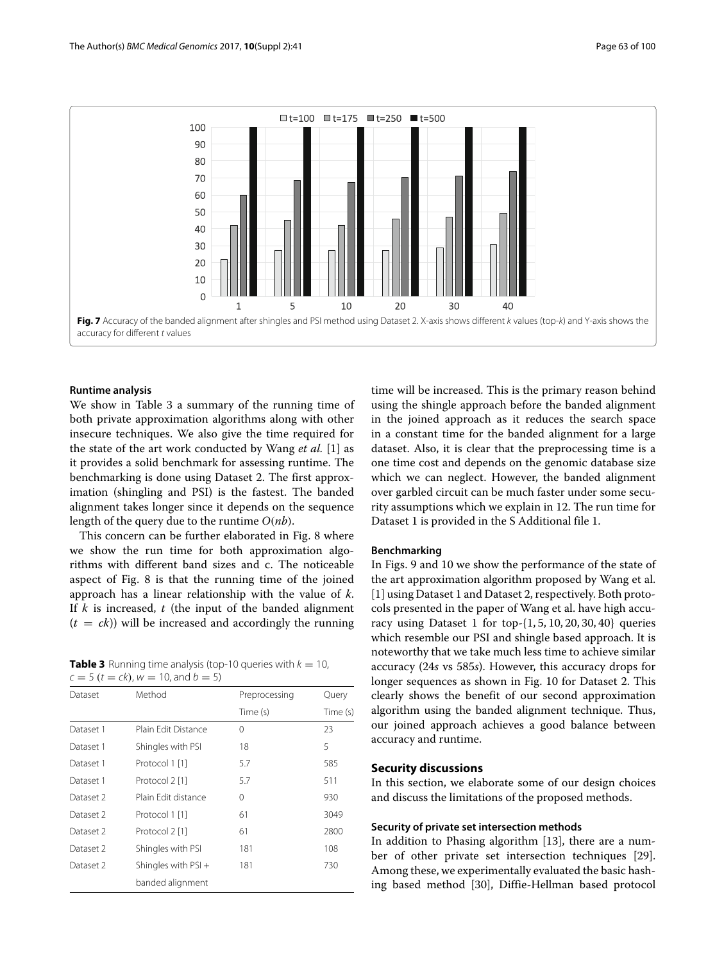

## <span id="page-8-1"></span>**Runtime analysis**

We show in Table [3](#page-8-2) a summary of the running time of both private approximation algorithms along with other insecure techniques. We also give the time required for the state of the art work conducted by Wang *et al.* [\[1\]](#page-11-0) as it provides a solid benchmark for assessing runtime. The benchmarking is done using Dataset 2. The first approximation (shingling and PSI) is the fastest. The banded alignment takes longer since it depends on the sequence length of the query due to the runtime *O*(*nb*).

This concern can be further elaborated in Fig. [8](#page-9-0) where we show the run time for both approximation algorithms with different band sizes and c. The noticeable aspect of Fig. [8](#page-9-0) is that the running time of the joined approach has a linear relationship with the value of *k*. If *k* is increased, *t* (the input of the banded alignment  $(t = ck)$ ) will be increased and accordingly the running

<span id="page-8-2"></span>**Table 3** Running time analysis (top-10 queries with  $k = 10$ ,  $c = 5$  ( $t = ck$ ),  $w = 10$ , and  $b = 5$ )

| Dataset   | Method                  | Preprocessing | Query    |
|-----------|-------------------------|---------------|----------|
|           |                         | Time (s)      | Time (s) |
| Dataset 1 | Plain Edit Distance     | 0             | 23       |
| Dataset 1 | Shingles with PSI<br>18 |               | 5        |
| Dataset 1 | Protocol 1 [1]<br>5.7   |               | 585      |
| Dataset 1 | Protocol 2 [1]          | 5.7           | 511      |
| Dataset 2 | Plain Edit distance     | $\Omega$      | 930      |
| Dataset 2 | Protocol 1 [1]          | 61            | 3049     |
| Dataset 2 | Protocol 2 [1]          | 61            | 2800     |
| Dataset 2 | Shingles with PSI       | 181           | 108      |
| Dataset 2 | Shingles with $PSI +$   | 181           | 730      |
|           | banded alignment        |               |          |

time will be increased. This is the primary reason behind using the shingle approach before the banded alignment in the joined approach as it reduces the search space in a constant time for the banded alignment for a large dataset. Also, it is clear that the preprocessing time is a one time cost and depends on the genomic database size which we can neglect. However, the banded alignment over garbled circuit can be much faster under some security assumptions which we explain in [12.](#page-9-1) The run time for Dataset 1 is provided in the S Additional file [1.](#page-11-28)

#### **Benchmarking**

In Figs. [9](#page-9-2) and [10](#page-10-0) we show the performance of the state of the art approximation algorithm proposed by Wang et al. [\[1\]](#page-11-0) using Dataset 1 and Dataset 2, respectively. Both protocols presented in the paper of Wang et al. have high accuracy using Dataset 1 for top-{1, 5, 10, 20, 30, 40} queries which resemble our PSI and shingle based approach. It is noteworthy that we take much less time to achieve similar accuracy (24*s* vs 585*s*). However, this accuracy drops for longer sequences as shown in Fig. [10](#page-10-0) for Dataset 2. This clearly shows the benefit of our second approximation algorithm using the banded alignment technique. Thus, our joined approach achieves a good balance between accuracy and runtime.

## <span id="page-8-0"></span>**Security discussions**

In this section, we elaborate some of our design choices and discuss the limitations of the proposed methods.

#### **Security of private set intersection methods**

In addition to Phasing algorithm [\[13\]](#page-11-12), there are a number of other private set intersection techniques [\[29\]](#page-11-29). Among these, we experimentally evaluated the basic hashing based method [\[30\]](#page-11-30), Diffie-Hellman based protocol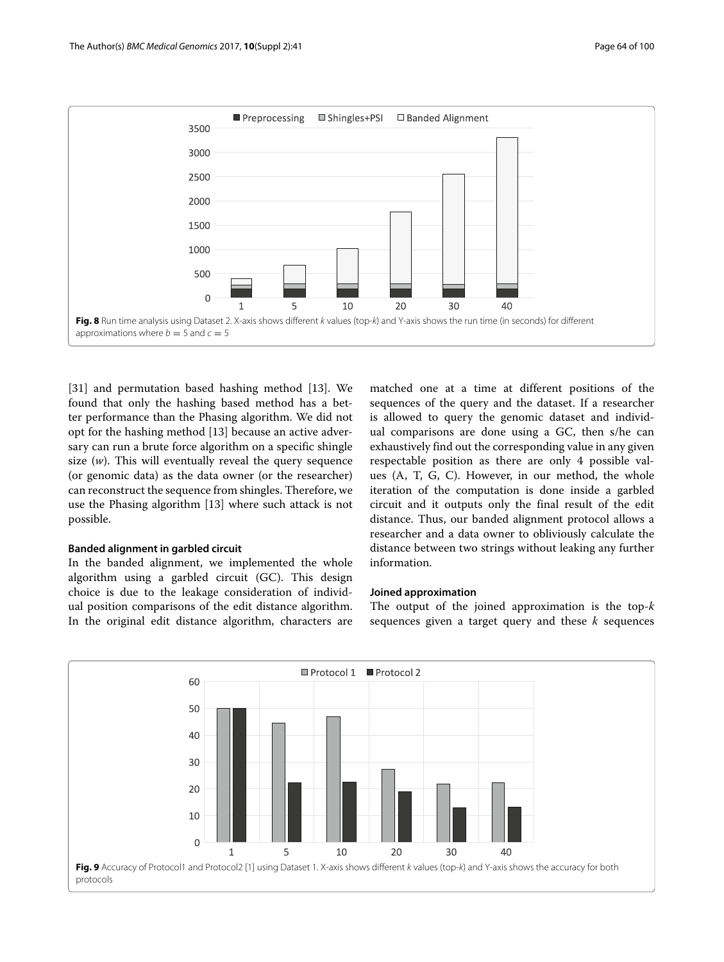

<span id="page-9-0"></span>[\[31\]](#page-11-31) and permutation based hashing method [\[13\]](#page-11-12). We found that only the hashing based method has a better performance than the Phasing algorithm. We did not opt for the hashing method [\[13\]](#page-11-12) because an active adversary can run a brute force algorithm on a specific shingle size (*w*). This will eventually reveal the query sequence (or genomic data) as the data owner (or the researcher) can reconstruct the sequence from shingles. Therefore, we use the Phasing algorithm [\[13\]](#page-11-12) where such attack is not possible.

#### <span id="page-9-1"></span>**Banded alignment in garbled circuit**

In the banded alignment, we implemented the whole algorithm using a garbled circuit (GC). This design choice is due to the leakage consideration of individual position comparisons of the edit distance algorithm. In the original edit distance algorithm, characters are matched one at a time at different positions of the sequences of the query and the dataset. If a researcher is allowed to query the genomic dataset and individual comparisons are done using a GC, then s/he can exhaustively find out the corresponding value in any given respectable position as there are only 4 possible values (A, T, G, C). However, in our method, the whole iteration of the computation is done inside a garbled circuit and it outputs only the final result of the edit distance. Thus, our banded alignment protocol allows a researcher and a data owner to obliviously calculate the distance between two strings without leaking any further information.

#### **Joined approximation**

The output of the joined approximation is the top-*k* sequences given a target query and these *k* sequences

<span id="page-9-2"></span>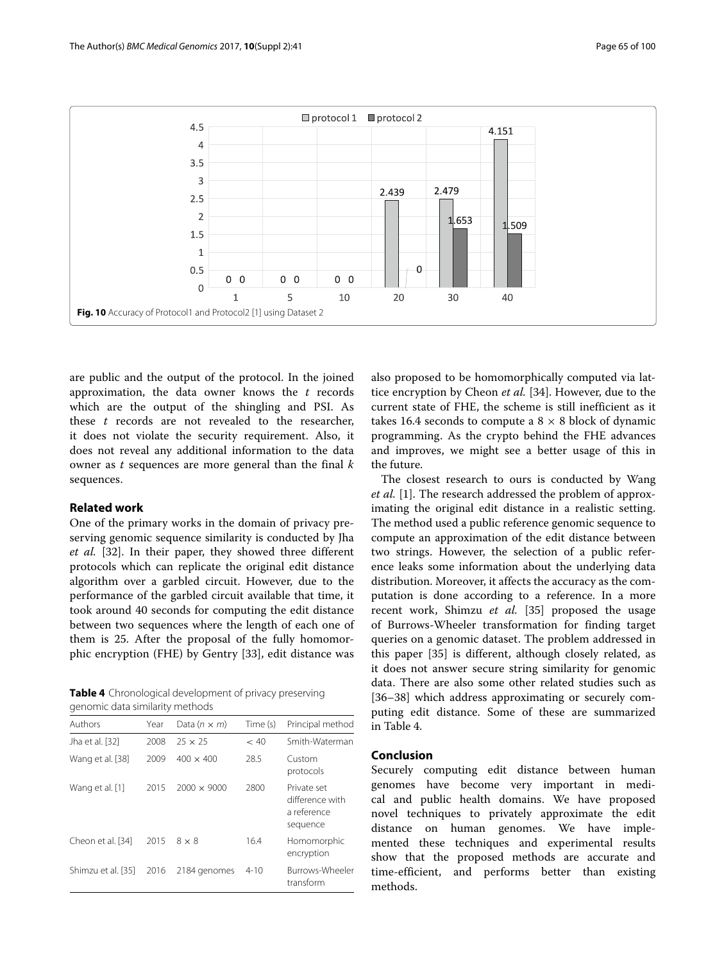

<span id="page-10-0"></span>are public and the output of the protocol. In the joined approximation, the data owner knows the *t* records which are the output of the shingling and PSI. As these *t* records are not revealed to the researcher, it does not violate the security requirement. Also, it does not reveal any additional information to the data owner as *t* sequences are more general than the final *k* sequences.

#### **Related work**

One of the primary works in the domain of privacy preserving genomic sequence similarity is conducted by Jha *et al.* [\[32\]](#page-12-0). In their paper, they showed three different protocols which can replicate the original edit distance algorithm over a garbled circuit. However, due to the performance of the garbled circuit available that time, it took around 40 seconds for computing the edit distance between two sequences where the length of each one of them is 25. After the proposal of the fully homomorphic encryption (FHE) by Gentry [\[33\]](#page-12-1), edit distance was

<span id="page-10-1"></span>**Table 4** Chronological development of privacy preserving genomic data similarity methods

| Authors            | Year | Data $(n \times m)$ | Time (s) | Principal method                                          |
|--------------------|------|---------------------|----------|-----------------------------------------------------------|
| Jha et al. [32]    | 2008 | $25 \times 25$      | ~< 40    | Smith-Waterman                                            |
| Wang et al. [38]   | 2009 | $400 \times 400$    | 28.5     | Custom<br>protocols                                       |
| Wang et al. [1]    | 2015 | $2000 \times 9000$  | 2800     | Private set<br>difference with<br>a reference<br>sequence |
| Cheon et al. [34]  | 2015 | $8 \times 8$        | 16.4     | Homomorphic<br>encryption                                 |
| Shimzu et al. [35] | 2016 | 2184 genomes        | 4-10     | Burrows-Wheeler<br>transform                              |

also proposed to be homomorphically computed via lattice encryption by Cheon *et al.* [\[34\]](#page-12-3). However, due to the current state of FHE, the scheme is still inefficient as it takes 16.4 seconds to compute a  $8 \times 8$  block of dynamic programming. As the crypto behind the FHE advances and improves, we might see a better usage of this in the future.

The closest research to ours is conducted by Wang *et al.* [\[1\]](#page-11-0). The research addressed the problem of approximating the original edit distance in a realistic setting. The method used a public reference genomic sequence to compute an approximation of the edit distance between two strings. However, the selection of a public reference leaks some information about the underlying data distribution. Moreover, it affects the accuracy as the computation is done according to a reference. In a more recent work, Shimzu *et al.* [\[35\]](#page-12-4) proposed the usage of Burrows-Wheeler transformation for finding target queries on a genomic dataset. The problem addressed in this paper [\[35\]](#page-12-4) is different, although closely related, as it does not answer secure string similarity for genomic data. There are also some other related studies such as [\[36](#page-12-5)[–38\]](#page-12-2) which address approximating or securely computing edit distance. Some of these are summarized in Table [4.](#page-10-1)

## **Conclusion**

Securely computing edit distance between human genomes have become very important in medical and public health domains. We have proposed novel techniques to privately approximate the edit distance on human genomes. We have implemented these techniques and experimental results show that the proposed methods are accurate and time-efficient, and performs better than existing methods.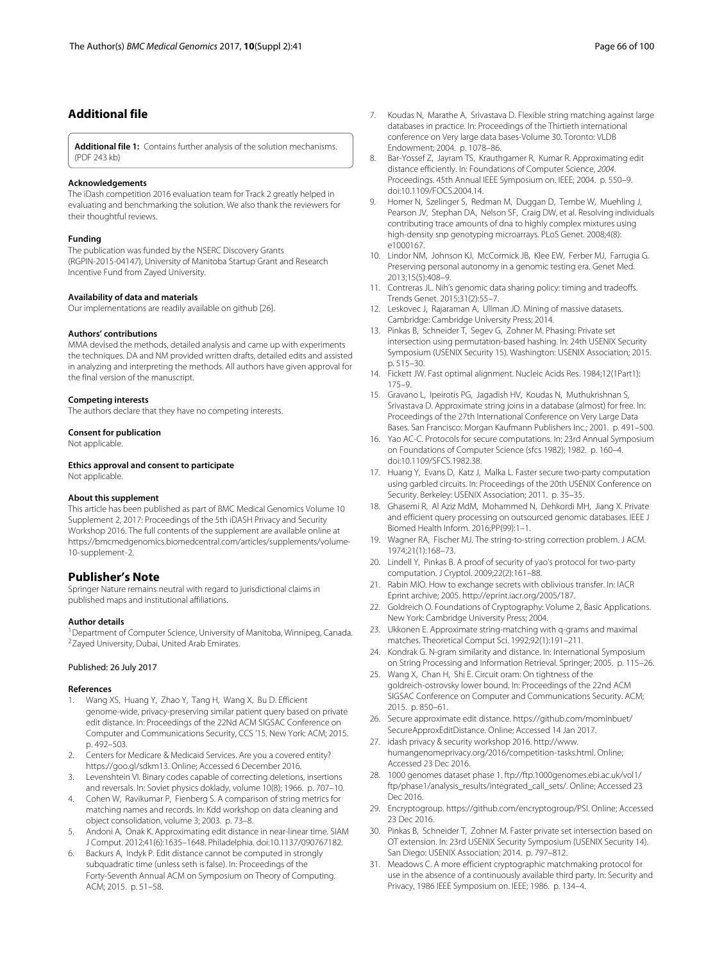## **Additional file**

<span id="page-11-28"></span>**[Additional file 1:](http://dx.doi.org/10.1186/s12920-017-0279-9)** Contains further analysis of the solution mechanisms. (PDF 243 kb)

#### **Acknowledgements**

The iDash competition 2016 evaluation team for Track 2 greatly helped in evaluating and benchmarking the solution. We also thank the reviewers for their thoughtful reviews.

#### **Funding**

The publication was funded by the NSERC Discovery Grants (RGPIN-2015-04147), University of Manitoba Startup Grant and Research Incentive Fund from Zayed University.

#### **Availability of data and materials**

Our implementations are readily available on github [\[26\]](#page-11-25).

#### **Authors' contributions**

MMA devised the methods, detailed analysis and came up with experiments the techniques. DA and NM provided written drafts, detailed edits and assisted in analyzing and interpreting the methods. All authors have given approval for the final version of the manuscript.

#### **Competing interests**

The authors declare that they have no competing interests.

# **Consent for publication**

Not applicable.

**Ethics approval and consent to participate** Not applicable.

## **About this supplement**

This article has been published as part of BMC Medical Genomics Volume 10 Supplement 2, 2017: Proceedings of the 5th iDASH Privacy and Security Workshop 2016. The full contents of the supplement are available online at [https://bmcmedgenomics.biomedcentral.com/articles/supplements/volume-](https://bmcmedgenomics.biomedcentral.com/articles/supplements/volume-10-supplement-2)[10-supplement-2.](https://bmcmedgenomics.biomedcentral.com/articles/supplements/volume-10-supplement-2)

#### **Publisher's Note**

Springer Nature remains neutral with regard to jurisdictional claims in published maps and institutional affiliations.

#### **Author details**

<sup>1</sup> Department of Computer Science, University of Manitoba, Winnipeg, Canada. <sup>2</sup> Zayed University, Dubai, United Arab Emirates.

#### Published: 26 July 2017

#### **References**

- <span id="page-11-0"></span>1. Wang XS, Huang Y, Zhao Y, Tang H, Wang X, Bu D. Efficient genome-wide, privacy-preserving similar patient query based on private edit distance. In: Proceedings of the 22Nd ACM SIGSAC Conference on Computer and Communications Security, CCS '15. New York: ACM; 2015. p. 492–503.
- <span id="page-11-1"></span>2. Centers for Medicare & Medicaid Services. Are you a covered entity? [https://goo.gl/sdkm13.](https://goo.gl/sdkm13) Online; Accessed 6 December 2016.
- <span id="page-11-2"></span>3. Levenshtein VI. Binary codes capable of correcting deletions, insertions and reversals. In: Soviet physics doklady, volume 10(8); 1966. p. 707–10.
- <span id="page-11-3"></span>4. Cohen W, Ravikumar P, Fienberg S. A comparison of string metrics for matching names and records. In: Kdd workshop on data cleaning and object consolidation, volume 3; 2003. p. 73–8.
- <span id="page-11-4"></span>5. Andoni A, Onak K. Approximating edit distance in near-linear time. SIAM J Comput. 2012;41(6):1635–1648. Philadelphia. doi[:10.1137/090767182.](http://dx.doi.org/10.1137/090767182)
- <span id="page-11-5"></span>6. Backurs A, Indyk P. Edit distance cannot be computed in strongly subquadratic time (unless seth is false). In: Proceedings of the Forty-Seventh Annual ACM on Symposium on Theory of Computing. ACM; 2015. p. 51–58.
- <span id="page-11-6"></span>7. Koudas N, Marathe A, Srivastava D. Flexible string matching against large databases in practice. In: Proceedings of the Thirtieth international conference on Very large data bases-Volume 30. Toronto: VLDB Endowment; 2004. p. 1078–86.
- <span id="page-11-7"></span>8. Bar-Yossef Z, Jayram TS, Krauthgamer R, Kumar R. Approximating edit distance efficiently. In: Foundations of Computer Science, 2004. Proceedings. 45th Annual IEEE Symposium on. IEEE; 2004. p. 550–9. doi[:10.1109/FOCS.2004.14.](http://dx.doi.org/10.1109/FOCS.2004.14)
- <span id="page-11-8"></span>9. Homer N, Szelinger S, Redman M, Duggan D, Tembe W, Muehling J, Pearson JV, Stephan DA, Nelson SF, Craig DW, et al. Resolving individuals contributing trace amounts of dna to highly complex mixtures using high-density snp genotyping microarrays. PLoS Genet. 2008;4(8): e1000167.
- <span id="page-11-9"></span>10. Lindor NM, Johnson KJ, McCormick JB, Klee EW, Ferber MJ, Farrugia G. Preserving personal autonomy in a genomic testing era. Genet Med. 2013;15(5):408–9.
- <span id="page-11-10"></span>11. Contreras JL. Nih's genomic data sharing policy: timing and tradeoffs. Trends Genet. 2015;31(2):55–7.
- <span id="page-11-11"></span>12. Leskovec J, Rajaraman A, Ullman JD. Mining of massive datasets. Cambridge: Cambridge University Press; 2014.
- <span id="page-11-12"></span>13. Pinkas B, Schneider T, Segev G, Zohner M. Phasing: Private set intersection using permutation-based hashing. In: 24th USENIX Security Symposium (USENIX Security 15). Washington: USENIX Association; 2015. p. 515–30.
- <span id="page-11-13"></span>14. Fickett JW. Fast optimal alignment. Nucleic Acids Res. 1984;12(1Part1): 175–9.
- <span id="page-11-14"></span>15. Gravano L, Ipeirotis PG, Jagadish HV, Koudas N, Muthukrishnan S, Srivastava D. Approximate string joins in a database (almost) for free. In: Proceedings of the 27th International Conference on Very Large Data Bases. San Francisco: Morgan Kaufmann Publishers Inc.; 2001. p. 491–500.
- <span id="page-11-15"></span>16. Yao AC-C. Protocols for secure computations. In: 23rd Annual Symposium on Foundations of Computer Science (sfcs 1982); 1982. p. 160–4. doi[:10.1109/SFCS.1982.38.](http://dx.doi.org/10.1109/SFCS.1982.38)
- <span id="page-11-16"></span>17. Huang Y, Evans D, Katz J, Malka L. Faster secure two-party computation using garbled circuits. In: Proceedings of the 20th USENIX Conference on Security. Berkeley: USENIX Association; 2011. p. 35–35.
- <span id="page-11-17"></span>18. Ghasemi R, Al Aziz MdM, Mohammed N, Dehkordi MH, Jiang X. Private and efficient query processing on outsourced genomic databases. IEEE J Biomed Health Inform. 2016;PP(99):1–1.
- <span id="page-11-18"></span>19. Wagner RA, Fischer MJ. The string-to-string correction problem. J ACM. 1974;21(1):168–73.
- <span id="page-11-19"></span>20. Lindell Y, Pinkas B. A proof of security of yao's protocol for two-party computation. J Cryptol. 2009;22(2):161–88.
- <span id="page-11-21"></span>21. Rabin MlO. How to exchange secrets with oblivious transfer. In: IACR Eprint archive; 2005. [http://eprint.iacr.org/2005/187.](http://eprint.iacr.org/2005/187)
- <span id="page-11-22"></span>22. Goldreich O. Foundations of Cryptography: Volume 2, Basic Applications. New York: Cambridge University Press; 2004.
- <span id="page-11-23"></span>23. Ukkonen E. Approximate string-matching with q-grams and maximal matches. Theoretical Comput Sci. 1992;92(1):191–211.
- <span id="page-11-24"></span>24. Kondrak G. N-gram similarity and distance. In: International Symposium on String Processing and Information Retrieval. Springer; 2005. p. 115–26.
- <span id="page-11-20"></span>25. Wang X, Chan H, Shi E. Circuit oram: On tightness of the goldreich-ostrovsky lower bound. In: Proceedings of the 22nd ACM SIGSAC Conference on Computer and Communications Security. ACM; 2015. p. 850–61.
- <span id="page-11-25"></span>26. Secure approximate edit distance. [https://github.com/mominbuet/](https://github.com/mominbuet/SecureApproxEditDistance) [SecureApproxEditDistance.](https://github.com/mominbuet/SecureApproxEditDistance) Online; Accessed 14 Jan 2017.
- <span id="page-11-26"></span>27. idash privacy & security workshop 2016. [http://www.](http://www.humangenomeprivacy.org/2016/competition-tasks.html) [humangenomeprivacy.org/2016/competition-tasks.html.](http://www.humangenomeprivacy.org/2016/competition-tasks.html) Online; Accessed 23 Dec 2016.
- <span id="page-11-27"></span>28. 1000 genomes dataset phase 1. [ftp://ftp.1000genomes.ebi.ac.uk/vol1/](ftp://ftp.1000genomes.ebi.ac.uk/vol1/ftp/phase1/analysis_results/integrated_call_sets/) [ftp/phase1/analysis\\_results/integrated\\_call\\_sets/.](ftp://ftp.1000genomes.ebi.ac.uk/vol1/ftp/phase1/analysis_results/integrated_call_sets/) Online; Accessed 23 Dec 2016.
- <span id="page-11-29"></span>29. Encryptogroup. [https://github.com/encryptogroup/PSI.](https://github.com/encryptogroup/PSI) Online; Accessed 23 Dec 2016.
- <span id="page-11-30"></span>30. Pinkas B, Schneider T, Zohner M. Faster private set intersection based on OT extension. In: 23rd USENIX Security Symposium (USENIX Security 14). San Diego: USENIX Association; 2014. p. 797–812.
- <span id="page-11-31"></span>31. Meadows C. A more efficient cryptographic matchmaking protocol for use in the absence of a continuously available third party. In: Security and Privacy, 1986 IEEE Symposium on. IEEE; 1986. p. 134–4.